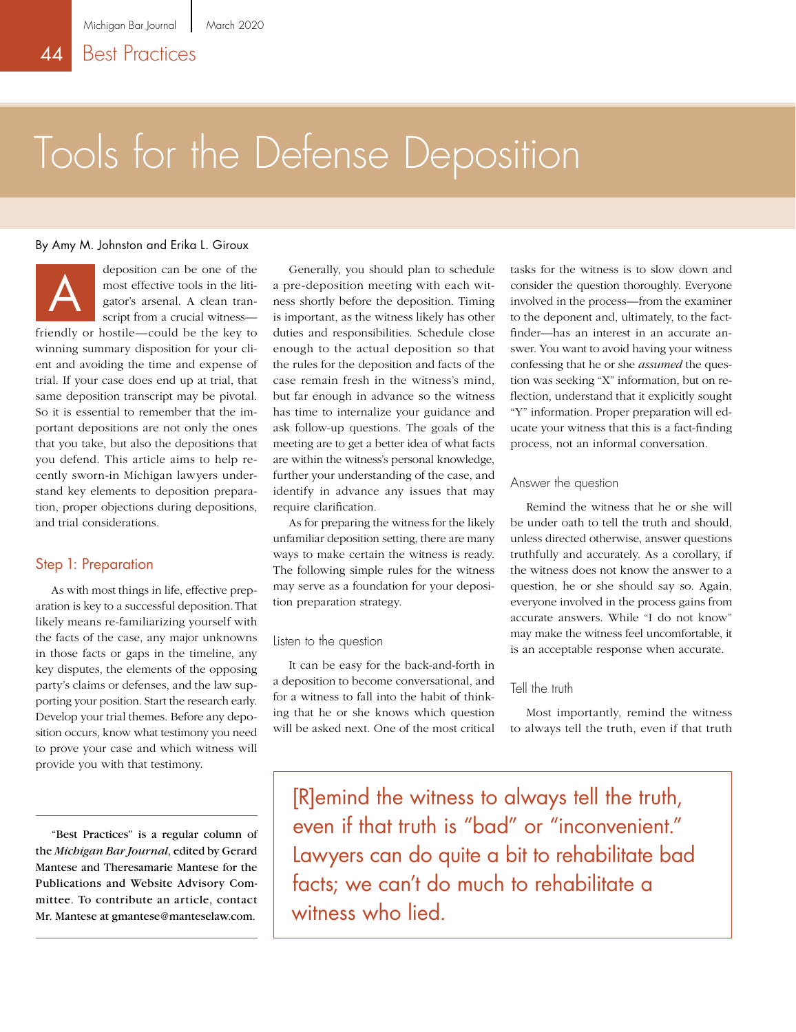# Tools for the Defense Deposition

#### By Amy M. Johnston and Erika L. Giroux



deposition can be one of the most effective tools in the litigator's arsenal. A clean transcript from a crucial witness—

friendly or hostile—could be the key to winning summary disposition for your client and avoiding the time and expense of trial. If your case does end up at trial, that same deposition transcript may be pivotal. So it is essential to remember that the important depositions are not only the ones that you take, but also the depositions that you defend. This article aims to help recently sworn-in Michigan lawyers understand key elements to deposition preparation, proper objections during depositions, and trial considerations.

#### Step 1: Preparation

As with most things in life, effective preparation is key to a successful deposition. That likely means re-familiarizing yourself with the facts of the case, any major unknowns in those facts or gaps in the timeline, any key disputes, the elements of the opposing party's claims or defenses, and the law supporting your position. Start the research early. Develop your trial themes. Before any deposition occurs, know what testimony you need to prove your case and which witness will provide you with that testimony.

"Best Practices" is a regular column of the *Michigan Bar Journal*, edited by Gerard Mantese and Theresamarie Mantese for the Publications and Website Advisory Committee. To contribute an article, contact Mr. Mantese at gmantese@manteselaw.com.

Generally, you should plan to schedule a pre-deposition meeting with each witness shortly before the deposition. Timing is important, as the witness likely has other duties and responsibilities. Schedule close enough to the actual deposition so that the rules for the deposition and facts of the case remain fresh in the witness's mind, but far enough in advance so the witness has time to internalize your guidance and ask follow-up questions. The goals of the meeting are to get a better idea of what facts are within the witness's personal knowledge, further your understanding of the case, and identify in advance any issues that may require clarification.

As for preparing the witness for the likely unfamiliar deposition setting, there are many ways to make certain the witness is ready. The following simple rules for the witness may serve as a foundation for your deposition preparation strategy.

#### Listen to the question

It can be easy for the back-and-forth in a deposition to become conversational, and for a witness to fall into the habit of thinking that he or she knows which question will be asked next. One of the most critical tasks for the witness is to slow down and consider the question thoroughly. Everyone involved in the process—from the examiner to the deponent and, ultimately, to the factfinder—has an interest in an accurate answer. You want to avoid having your witness confessing that he or she *assumed* the question was seeking "X" information, but on reflection, understand that it explicitly sought "Y" information. Proper preparation will educate your witness that this is a fact-finding process, not an informal conversation.

#### Answer the question

Remind the witness that he or she will be under oath to tell the truth and should, unless directed otherwise, answer questions truthfully and accurately. As a corollary, if the witness does not know the answer to a question, he or she should say so. Again, everyone involved in the process gains from accurate answers. While "I do not know" may make the witness feel uncomfortable, it is an acceptable response when accurate.

#### Tell the truth

Most importantly, remind the witness to always tell the truth, even if that truth

[R]emind the witness to always tell the truth, even if that truth is "bad" or "inconvenient." Lawyers can do quite a bit to rehabilitate bad facts; we can't do much to rehabilitate a witness who lied.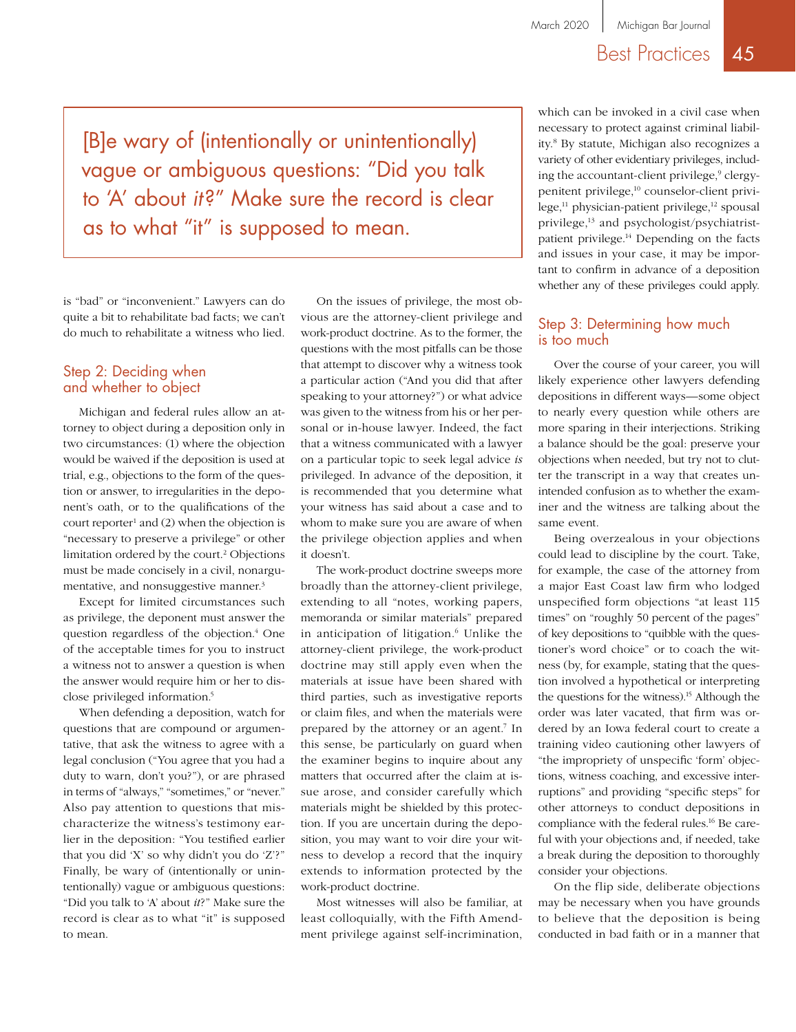### Best Practices 45

[B]e wary of (intentionally or unintentionally) vague or ambiguous questions: "Did you talk to 'A' about *it*?" Make sure the record is clear as to what "it" is supposed to mean.

is "bad" or "inconvenient." Lawyers can do quite a bit to rehabilitate bad facts; we can't do much to rehabilitate a witness who lied.

#### Step 2: Deciding when and whether to object

Michigan and federal rules allow an attorney to object during a deposition only in two circumstances: (1) where the objection would be waived if the deposition is used at trial, e.g., objections to the form of the question or answer, to irregularities in the deponent's oath, or to the qualifications of the court reporter<sup>1</sup> and  $(2)$  when the objection is "necessary to preserve a privilege" or other limitation ordered by the court.<sup>2</sup> Objections must be made concisely in a civil, nonargumentative, and nonsuggestive manner.3

Except for limited circumstances such as privilege, the deponent must answer the question regardless of the objection.<sup>4</sup> One of the acceptable times for you to instruct a witness not to answer a question is when the answer would require him or her to disclose privileged information.5

When defending a deposition, watch for questions that are compound or argumentative, that ask the witness to agree with a legal conclusion ("You agree that you had a duty to warn, don't you?"), or are phrased in terms of "always," "sometimes," or "never." Also pay attention to questions that mischaracterize the witness's testimony earlier in the deposition: "You testified earlier that you did 'X' so why didn't you do 'Z'?" Finally, be wary of (intentionally or unintentionally) vague or ambiguous questions: "Did you talk to 'A' about *it*?" Make sure the record is clear as to what "it" is supposed to mean.

On the issues of privilege, the most obvious are the attorney-client privilege and work-product doctrine. As to the former, the questions with the most pitfalls can be those that attempt to discover why a witness took a particular action ("And you did that after speaking to your attorney?") or what advice was given to the witness from his or her personal or in-house lawyer. Indeed, the fact that a witness communicated with a lawyer on a particular topic to seek legal advice *is* privileged. In advance of the deposition, it is recommended that you determine what your witness has said about a case and to whom to make sure you are aware of when the privilege objection applies and when it doesn't.

The work-product doctrine sweeps more broadly than the attorney-client privilege, extending to all "notes, working papers, memoranda or similar materials" prepared in anticipation of litigation.<sup>6</sup> Unlike the attorney-client privilege, the work-product doctrine may still apply even when the materials at issue have been shared with third parties, such as investigative reports or claim files, and when the materials were prepared by the attorney or an agent.<sup>7</sup> In this sense, be particularly on guard when the examiner begins to inquire about any matters that occurred after the claim at issue arose, and consider carefully which materials might be shielded by this protection. If you are uncertain during the deposition, you may want to voir dire your witness to develop a record that the inquiry extends to information protected by the work-product doctrine.

Most witnesses will also be familiar, at least colloquially, with the Fifth Amendment privilege against self-incrimination,

which can be invoked in a civil case when necessary to protect against criminal liability.8 By statute, Michigan also recognizes a variety of other evidentiary privileges, including the accountant-client privilege,<sup>9</sup> clergypenitent privilege,<sup>10</sup> counselor-client privi $lege<sub>11</sub>$  physician-patient privilege,<sup>12</sup> spousal privilege,<sup>13</sup> and psychologist/psychiatristpatient privilege.14 Depending on the facts and issues in your case, it may be important to confirm in advance of a deposition whether any of these privileges could apply.

#### Step 3: Determining how much is too much

Over the course of your career, you will likely experience other lawyers defending depositions in different ways—some object to nearly every question while others are more sparing in their interjections. Striking a balance should be the goal: preserve your objections when needed, but try not to clutter the transcript in a way that creates unintended confusion as to whether the examiner and the witness are talking about the same event.

Being overzealous in your objections could lead to discipline by the court. Take, for example, the case of the attorney from a major East Coast law firm who lodged unspecified form objections "at least 115 times" on "roughly 50 percent of the pages" of key depositions to "quibble with the questioner's word choice" or to coach the witness (by, for example, stating that the question involved a hypothetical or interpreting the questions for the witness).<sup>15</sup> Although the order was later vacated, that firm was ordered by an Iowa federal court to create a training video cautioning other lawyers of "the impropriety of unspecific 'form' objections, witness coaching, and excessive interruptions" and providing "specific steps" for other attorneys to conduct depositions in compliance with the federal rules.16 Be careful with your objections and, if needed, take a break during the deposition to thoroughly consider your objections.

On the flip side, deliberate objections may be necessary when you have grounds to believe that the deposition is being conducted in bad faith or in a manner that